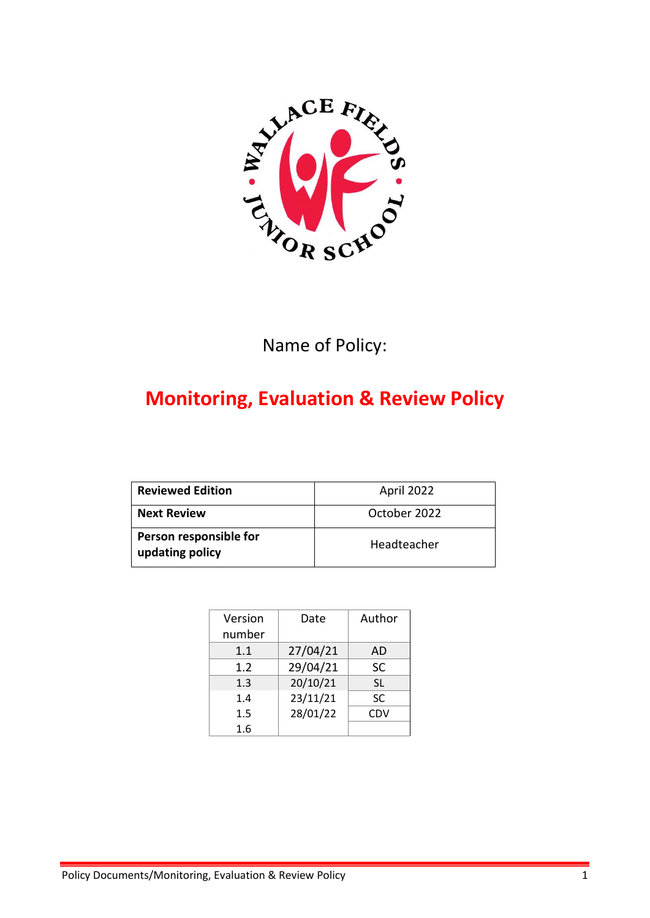

# Name of Policy:

# **Monitoring, Evaluation & Review Policy**

| <b>Reviewed Edition</b>                   | April 2022   |
|-------------------------------------------|--------------|
| <b>Next Review</b>                        | October 2022 |
| Person responsible for<br>updating policy | Headteacher  |

| Version<br>number | Date     | Author    |
|-------------------|----------|-----------|
| 1.1               | 27/04/21 | AD        |
| 1.2               | 29/04/21 | <b>SC</b> |
| 1.3               | 20/10/21 | <b>SL</b> |
| 1.4               | 23/11/21 | <b>SC</b> |
| 1.5               | 28/01/22 | CDV       |
| 1.6               |          |           |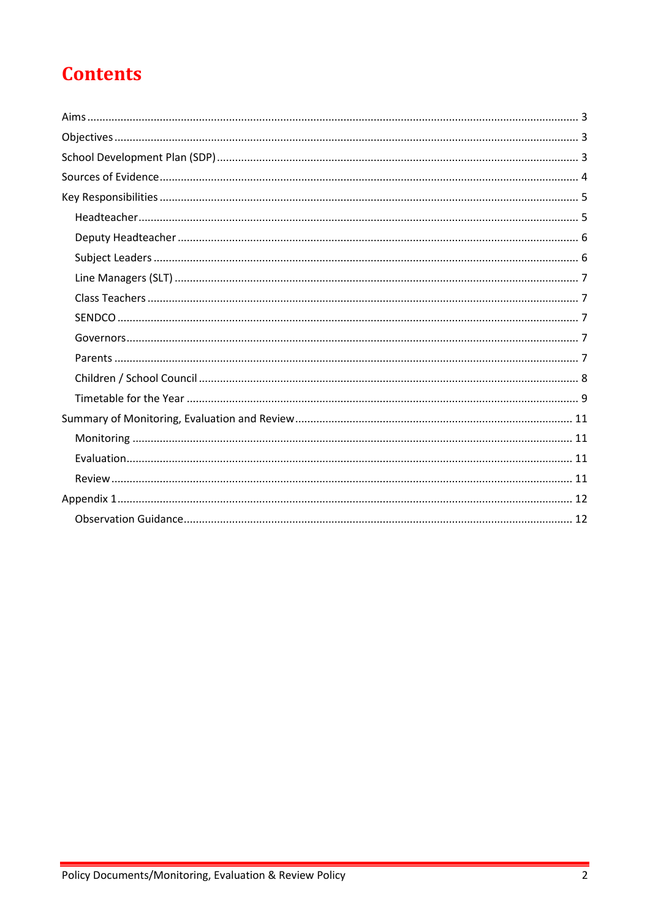# **Contents**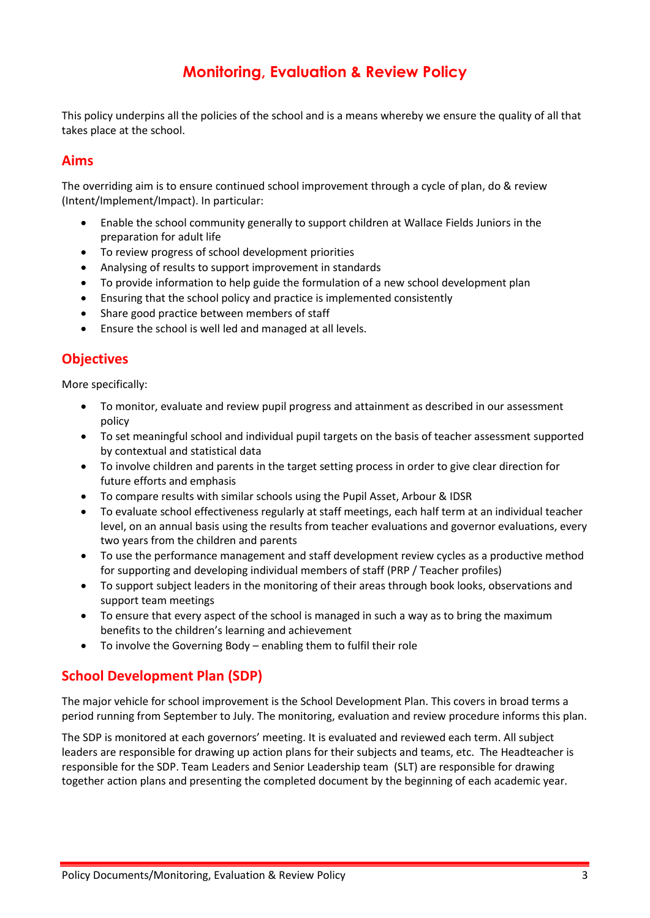# **Monitoring, Evaluation & Review Policy**

This policy underpins all the policies of the school and is a means whereby we ensure the quality of all that takes place at the school.

### <span id="page-2-0"></span>**Aims**

The overriding aim is to ensure continued school improvement through a cycle of plan, do & review (Intent/Implement/Impact). In particular:

- Enable the school community generally to support children at Wallace Fields Juniors in the preparation for adult life
- To review progress of school development priorities
- Analysing of results to support improvement in standards
- To provide information to help guide the formulation of a new school development plan
- Ensuring that the school policy and practice is implemented consistently
- Share good practice between members of staff
- Ensure the school is well led and managed at all levels.

# <span id="page-2-1"></span>**Objectives**

More specifically:

- To monitor, evaluate and review pupil progress and attainment as described in our assessment policy
- To set meaningful school and individual pupil targets on the basis of teacher assessment supported by contextual and statistical data
- To involve children and parents in the target setting process in order to give clear direction for future efforts and emphasis
- To compare results with similar schools using the Pupil Asset, Arbour & IDSR
- To evaluate school effectiveness regularly at staff meetings, each half term at an individual teacher level, on an annual basis using the results from teacher evaluations and governor evaluations, every two years from the children and parents
- To use the performance management and staff development review cycles as a productive method for supporting and developing individual members of staff (PRP / Teacher profiles)
- To support subject leaders in the monitoring of their areas through book looks, observations and support team meetings
- To ensure that every aspect of the school is managed in such a way as to bring the maximum benefits to the children's learning and achievement
- To involve the Governing Body enabling them to fulfil their role

## <span id="page-2-2"></span>**School Development Plan (SDP)**

The major vehicle for school improvement is the School Development Plan. This covers in broad terms a period running from September to July. The monitoring, evaluation and review procedure informs this plan.

The SDP is monitored at each governors' meeting. It is evaluated and reviewed each term. All subject leaders are responsible for drawing up action plans for their subjects and teams, etc. The Headteacher is responsible for the SDP. Team Leaders and Senior Leadership team (SLT) are responsible for drawing together action plans and presenting the completed document by the beginning of each academic year.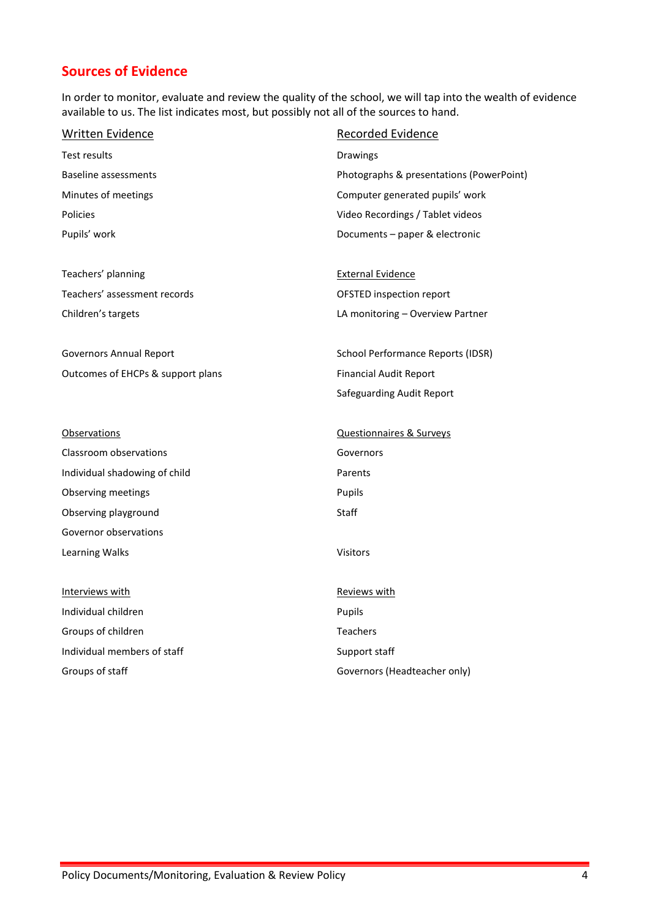# <span id="page-3-0"></span>**Sources of Evidence**

In order to monitor, evaluate and review the quality of the school, we will tap into the wealth of evidence available to us. The list indicates most, but possibly not all of the sources to hand.

| <b>Written Evidence</b>           | <b>Recorded Evidence</b>                 |
|-----------------------------------|------------------------------------------|
| Test results                      | Drawings                                 |
| <b>Baseline assessments</b>       | Photographs & presentations (PowerPoint) |
| Minutes of meetings               | Computer generated pupils' work          |
| Policies                          | Video Recordings / Tablet videos         |
| Pupils' work                      | Documents - paper & electronic           |
| Teachers' planning                | <b>External Evidence</b>                 |
| Teachers' assessment records      | OFSTED inspection report                 |
| Children's targets                | LA monitoring - Overview Partner         |
| <b>Governors Annual Report</b>    | <b>School Performance Reports (IDSR)</b> |
| Outcomes of EHCPs & support plans | <b>Financial Audit Report</b>            |
|                                   | Safeguarding Audit Report                |
| <b>Observations</b>               | <b>Questionnaires &amp; Surveys</b>      |
| Classroom observations            | Governors                                |
| Individual shadowing of child     | Parents                                  |
| Observing meetings                | Pupils                                   |
| Observing playground              | <b>Staff</b>                             |
| Governor observations             |                                          |
| Learning Walks                    | Visitors                                 |
| Interviews with                   | Reviews with                             |
| Individual children               | Pupils                                   |
| Groups of children                | <b>Teachers</b>                          |
| Individual members of staff       | Support staff                            |
| Groups of staff                   | Governors (Headteacher only)             |
|                                   |                                          |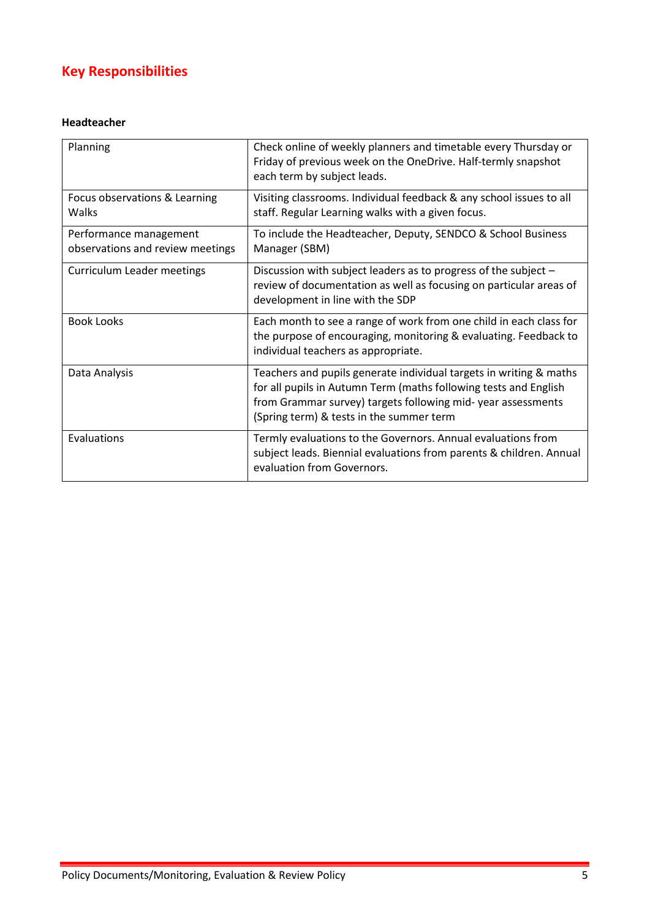# <span id="page-4-0"></span>**Key Responsibilities**

#### <span id="page-4-1"></span>**Headteacher**

| Planning                                                   | Check online of weekly planners and timetable every Thursday or<br>Friday of previous week on the OneDrive. Half-termly snapshot<br>each term by subject leads.                                                                                   |
|------------------------------------------------------------|---------------------------------------------------------------------------------------------------------------------------------------------------------------------------------------------------------------------------------------------------|
| Focus observations & Learning<br>Walks                     | Visiting classrooms. Individual feedback & any school issues to all<br>staff. Regular Learning walks with a given focus.                                                                                                                          |
| Performance management<br>observations and review meetings | To include the Headteacher, Deputy, SENDCO & School Business<br>Manager (SBM)                                                                                                                                                                     |
| Curriculum Leader meetings                                 | Discussion with subject leaders as to progress of the subject -<br>review of documentation as well as focusing on particular areas of<br>development in line with the SDP                                                                         |
| <b>Book Looks</b>                                          | Each month to see a range of work from one child in each class for<br>the purpose of encouraging, monitoring & evaluating. Feedback to<br>individual teachers as appropriate.                                                                     |
| Data Analysis                                              | Teachers and pupils generate individual targets in writing & maths<br>for all pupils in Autumn Term (maths following tests and English<br>from Grammar survey) targets following mid-year assessments<br>(Spring term) & tests in the summer term |
| Evaluations                                                | Termly evaluations to the Governors. Annual evaluations from<br>subject leads. Biennial evaluations from parents & children. Annual<br>evaluation from Governors.                                                                                 |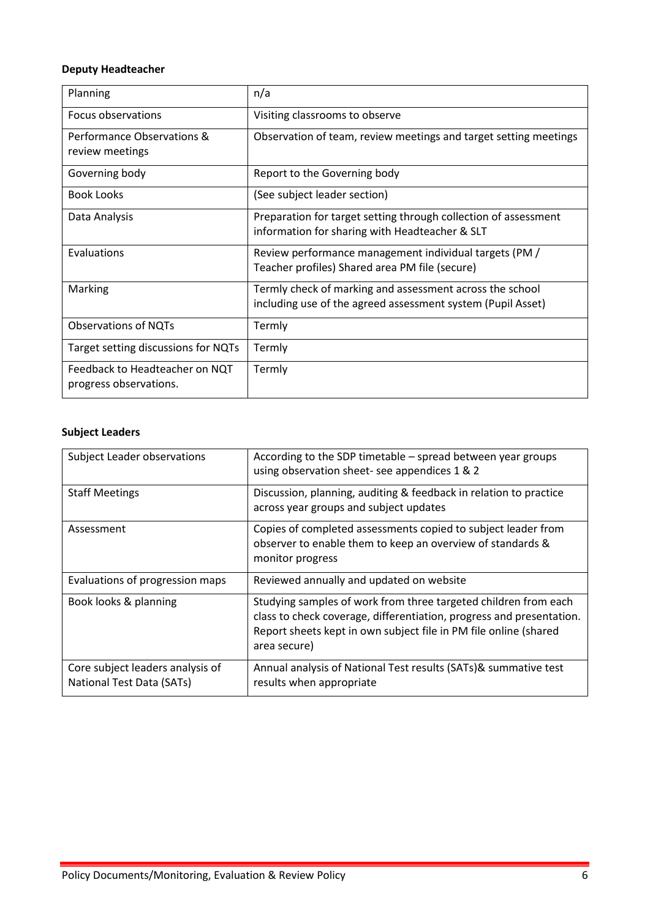### <span id="page-5-0"></span>**Deputy Headteacher**

| Planning                                                 | n/a                                                                                                                     |
|----------------------------------------------------------|-------------------------------------------------------------------------------------------------------------------------|
| Focus observations                                       | Visiting classrooms to observe                                                                                          |
| Performance Observations &<br>review meetings            | Observation of team, review meetings and target setting meetings                                                        |
| Governing body                                           | Report to the Governing body                                                                                            |
| <b>Book Looks</b>                                        | (See subject leader section)                                                                                            |
| Data Analysis                                            | Preparation for target setting through collection of assessment<br>information for sharing with Headteacher & SLT       |
| Evaluations                                              | Review performance management individual targets (PM /<br>Teacher profiles) Shared area PM file (secure)                |
| Marking                                                  | Termly check of marking and assessment across the school<br>including use of the agreed assessment system (Pupil Asset) |
| <b>Observations of NQTs</b>                              | Termly                                                                                                                  |
| Target setting discussions for NQTs                      | Termly                                                                                                                  |
| Feedback to Headteacher on NQT<br>progress observations. | Termly                                                                                                                  |

## <span id="page-5-1"></span>**Subject Leaders**

| <b>Subject Leader observations</b>                            | According to the SDP timetable – spread between year groups<br>using observation sheet- see appendices 1 & 2                                                                                                                |
|---------------------------------------------------------------|-----------------------------------------------------------------------------------------------------------------------------------------------------------------------------------------------------------------------------|
| <b>Staff Meetings</b>                                         | Discussion, planning, auditing & feedback in relation to practice<br>across year groups and subject updates                                                                                                                 |
| Assessment                                                    | Copies of completed assessments copied to subject leader from<br>observer to enable them to keep an overview of standards &<br>monitor progress                                                                             |
| Evaluations of progression maps                               | Reviewed annually and updated on website                                                                                                                                                                                    |
| Book looks & planning                                         | Studying samples of work from three targeted children from each<br>class to check coverage, differentiation, progress and presentation.<br>Report sheets kept in own subject file in PM file online (shared<br>area secure) |
| Core subject leaders analysis of<br>National Test Data (SATs) | Annual analysis of National Test results (SATs)& summative test<br>results when appropriate                                                                                                                                 |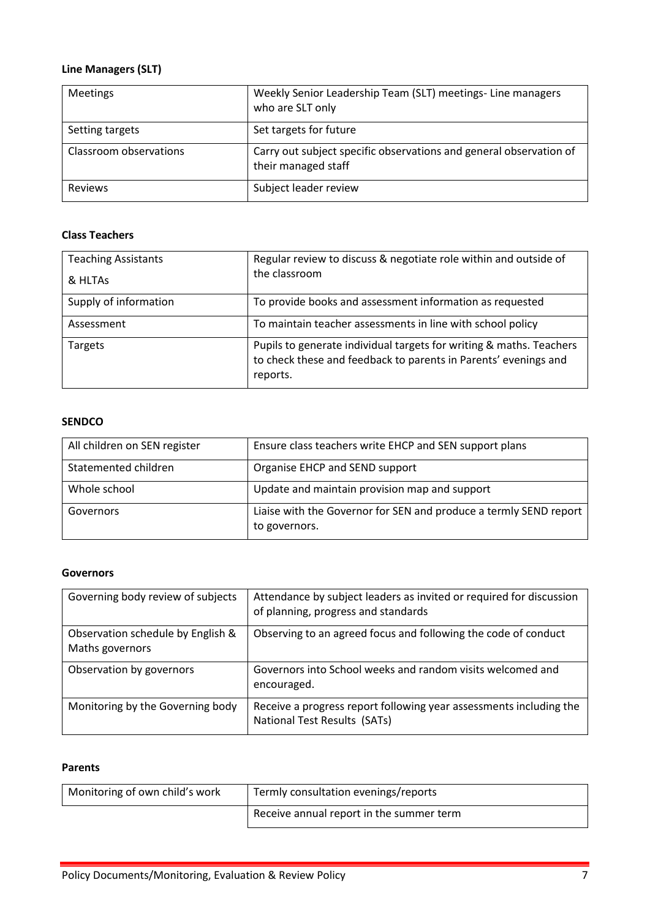## <span id="page-6-0"></span>**Line Managers (SLT)**

| <b>Meetings</b>        | Weekly Senior Leadership Team (SLT) meetings- Line managers<br>who are SLT only           |
|------------------------|-------------------------------------------------------------------------------------------|
| Setting targets        | Set targets for future                                                                    |
| Classroom observations | Carry out subject specific observations and general observation of<br>their managed staff |
| <b>Reviews</b>         | Subject leader review                                                                     |

#### <span id="page-6-1"></span>**Class Teachers**

| <b>Teaching Assistants</b><br>& HLTAS | Regular review to discuss & negotiate role within and outside of<br>the classroom                                                                  |
|---------------------------------------|----------------------------------------------------------------------------------------------------------------------------------------------------|
| Supply of information                 | To provide books and assessment information as requested                                                                                           |
| Assessment                            | To maintain teacher assessments in line with school policy                                                                                         |
| Targets                               | Pupils to generate individual targets for writing & maths. Teachers<br>to check these and feedback to parents in Parents' evenings and<br>reports. |

#### <span id="page-6-2"></span>**SENDCO**

| All children on SEN register | Ensure class teachers write EHCP and SEN support plans                             |
|------------------------------|------------------------------------------------------------------------------------|
| Statemented children         | Organise EHCP and SEND support                                                     |
| Whole school                 | Update and maintain provision map and support                                      |
| Governors                    | Liaise with the Governor for SEN and produce a termly SEND report<br>to governors. |

#### <span id="page-6-3"></span>**Governors**

| Governing body review of subjects                    | Attendance by subject leaders as invited or required for discussion<br>of planning, progress and standards |
|------------------------------------------------------|------------------------------------------------------------------------------------------------------------|
| Observation schedule by English &<br>Maths governors | Observing to an agreed focus and following the code of conduct                                             |
| Observation by governors                             | Governors into School weeks and random visits welcomed and<br>encouraged.                                  |
| Monitoring by the Governing body                     | Receive a progress report following year assessments including the<br>National Test Results (SATs)         |

#### <span id="page-6-4"></span>**Parents**

| Monitoring of own child's work | Termly consultation evenings/reports     |
|--------------------------------|------------------------------------------|
|                                | Receive annual report in the summer term |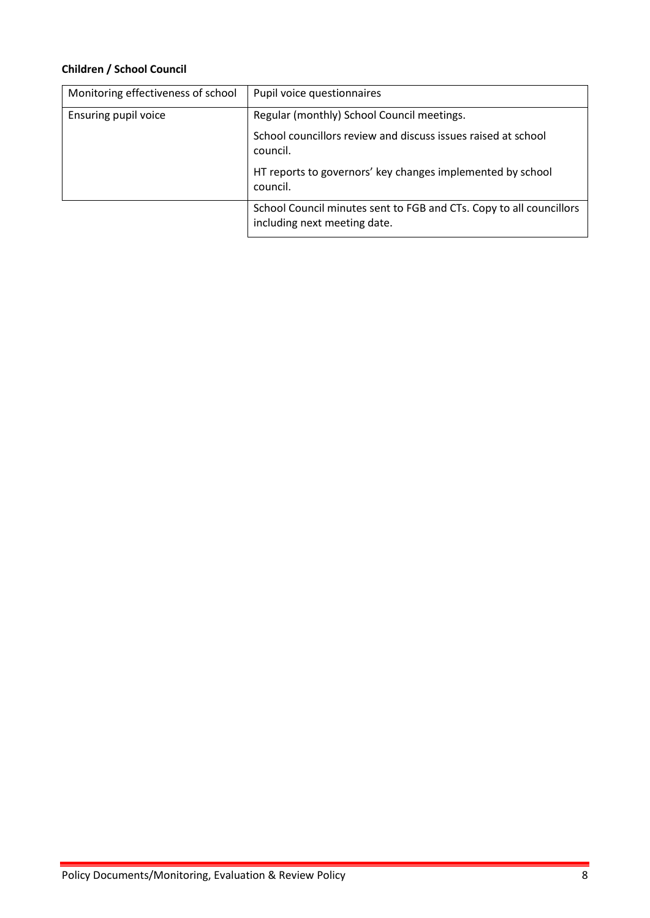## <span id="page-7-0"></span>**Children / School Council**

| Monitoring effectiveness of school | Pupil voice questionnaires                                                                          |
|------------------------------------|-----------------------------------------------------------------------------------------------------|
| Ensuring pupil voice               | Regular (monthly) School Council meetings.                                                          |
|                                    | School councillors review and discuss issues raised at school<br>council.                           |
|                                    | HT reports to governors' key changes implemented by school<br>council.                              |
|                                    | School Council minutes sent to FGB and CTs. Copy to all councillors<br>including next meeting date. |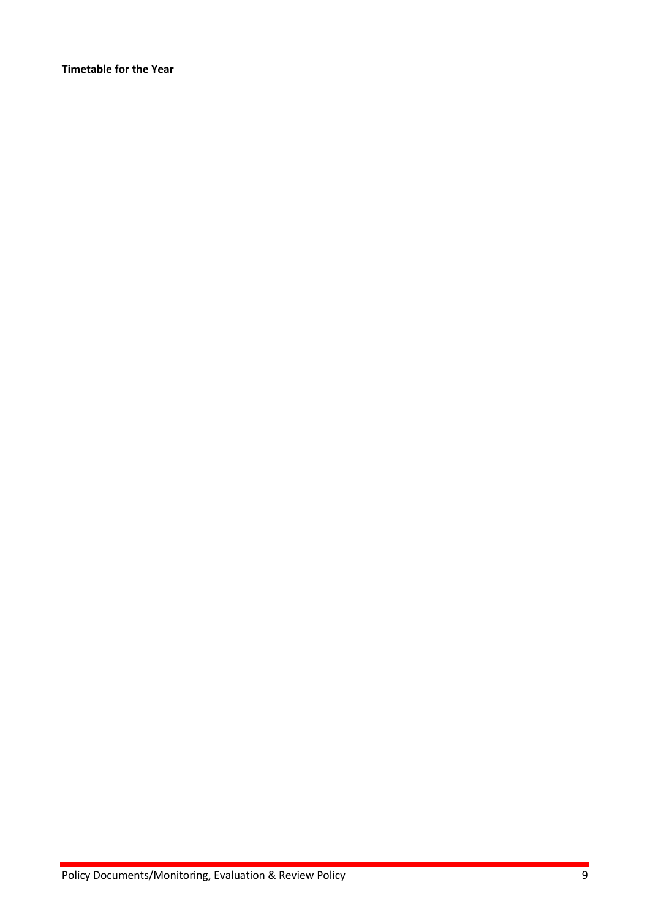<span id="page-8-0"></span>**Timetable for the Year**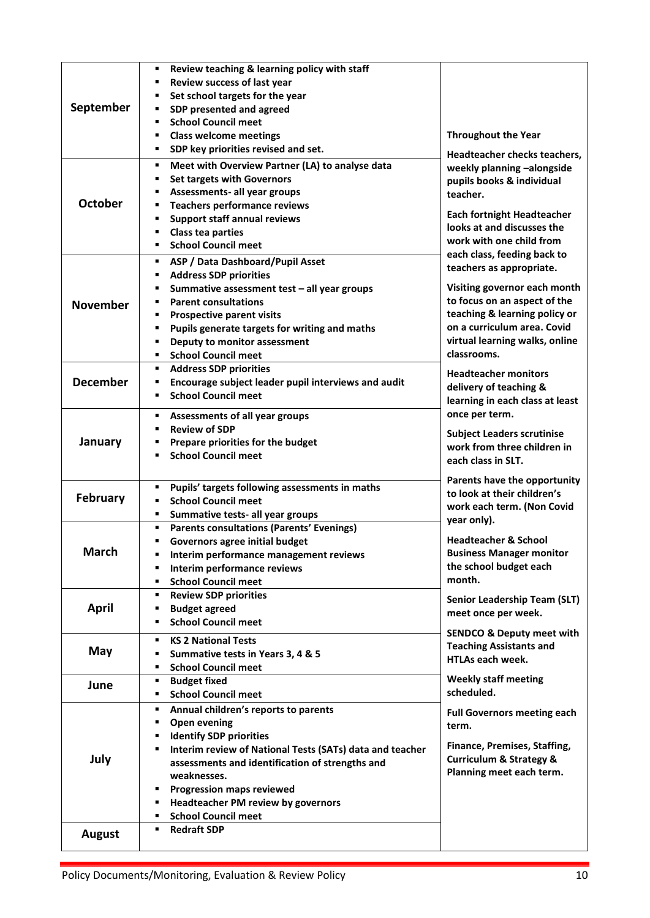|                 | Review teaching & learning policy with staff<br>٠                                  |                                        |
|-----------------|------------------------------------------------------------------------------------|----------------------------------------|
|                 | Review success of last year                                                        |                                        |
|                 | Set school targets for the year                                                    |                                        |
| September       | SDP presented and agreed                                                           |                                        |
|                 | <b>School Council meet</b><br>$\blacksquare$                                       |                                        |
|                 | <b>Class welcome meetings</b><br>٠                                                 | <b>Throughout the Year</b>             |
|                 | SDP key priorities revised and set.<br>٠                                           | Headteacher checks teachers,           |
|                 | Meet with Overview Partner (LA) to analyse data<br>٠                               | weekly planning -alongside             |
|                 | <b>Set targets with Governors</b><br>٠                                             | pupils books & individual              |
|                 | Assessments- all year groups                                                       | teacher.                               |
| <b>October</b>  | <b>Teachers performance reviews</b>                                                |                                        |
|                 | <b>Support staff annual reviews</b>                                                | <b>Each fortnight Headteacher</b>      |
|                 | <b>Class tea parties</b>                                                           | looks at and discusses the             |
|                 | <b>School Council meet</b><br>٠                                                    | work with one child from               |
|                 | ASP / Data Dashboard/Pupil Asset<br>٠                                              | each class, feeding back to            |
|                 | <b>Address SDP priorities</b><br>٠                                                 | teachers as appropriate.               |
|                 | Summative assessment test - all year groups<br>٠                                   | Visiting governor each month           |
| <b>November</b> | <b>Parent consultations</b>                                                        | to focus on an aspect of the           |
|                 | <b>Prospective parent visits</b><br>٠                                              | teaching & learning policy or          |
|                 | Pupils generate targets for writing and maths<br>٠                                 | on a curriculum area. Covid            |
|                 | Deputy to monitor assessment<br>٠                                                  | virtual learning walks, online         |
|                 | <b>School Council meet</b><br>٠                                                    | classrooms.                            |
|                 | <b>Address SDP priorities</b><br>٠                                                 | <b>Headteacher monitors</b>            |
| <b>December</b> | Encourage subject leader pupil interviews and audit<br>п                           | delivery of teaching &                 |
|                 | <b>School Council meet</b><br>$\blacksquare$                                       | learning in each class at least        |
|                 |                                                                                    | once per term.                         |
|                 | Assessments of all year groups<br>٠<br><b>Review of SDP</b><br>$\blacksquare$      |                                        |
| January         | Prepare priorities for the budget                                                  | <b>Subject Leaders scrutinise</b>      |
|                 | <b>School Council meet</b>                                                         | work from three children in            |
|                 |                                                                                    | each class in SLT.                     |
|                 |                                                                                    | Parents have the opportunity           |
| <b>February</b> | Pupils' targets following assessments in maths<br>٠                                | to look at their children's            |
|                 | <b>School Council meet</b>                                                         | work each term. (Non Covid             |
|                 | Summative tests- all year groups<br>٠                                              | year only).                            |
|                 | <b>Parents consultations (Parents' Evenings)</b><br>٠                              | <b>Headteacher &amp; School</b>        |
| March           | <b>Governors agree initial budget</b><br>٠                                         | <b>Business Manager monitor</b>        |
|                 | Interim performance management reviews<br>٠<br>٠                                   | the school budget each                 |
|                 | Interim performance reviews<br><b>School Council meet</b><br>$\blacksquare$        | month.                                 |
|                 | <b>Review SDP priorities</b><br>٠                                                  |                                        |
| <b>April</b>    | <b>Budget agreed</b><br>٠                                                          | <b>Senior Leadership Team (SLT)</b>    |
|                 | <b>School Council meet</b><br>٠                                                    | meet once per week.                    |
|                 |                                                                                    | <b>SENDCO &amp; Deputy meet with</b>   |
| May             | <b>KS 2 National Tests</b><br>٠                                                    | <b>Teaching Assistants and</b>         |
|                 | Summative tests in Years 3, 4 & 5<br>٠                                             | <b>HTLAs each week.</b>                |
|                 | <b>School Council meet</b><br>$\blacksquare$                                       |                                        |
| June            | <b>Budget fixed</b><br>٠                                                           | <b>Weekly staff meeting</b>            |
|                 | <b>School Council meet</b><br>٠                                                    | scheduled.                             |
|                 | Annual children's reports to parents<br>٠                                          | <b>Full Governors meeting each</b>     |
|                 | <b>Open evening</b><br>٠                                                           | term.                                  |
|                 | <b>Identify SDP priorities</b><br>٠                                                | Finance, Premises, Staffing,           |
| July            | Interim review of National Tests (SATs) data and teacher<br>٠                      | <b>Curriculum &amp; Strategy &amp;</b> |
|                 | assessments and identification of strengths and                                    | Planning meet each term.               |
|                 | weaknesses.<br>٠                                                                   |                                        |
|                 | <b>Progression maps reviewed</b><br><b>Headteacher PM review by governors</b><br>٠ |                                        |
|                 | <b>School Council meet</b><br>٠                                                    |                                        |
|                 | <b>Redraft SDP</b><br>٠                                                            |                                        |
| <b>August</b>   |                                                                                    |                                        |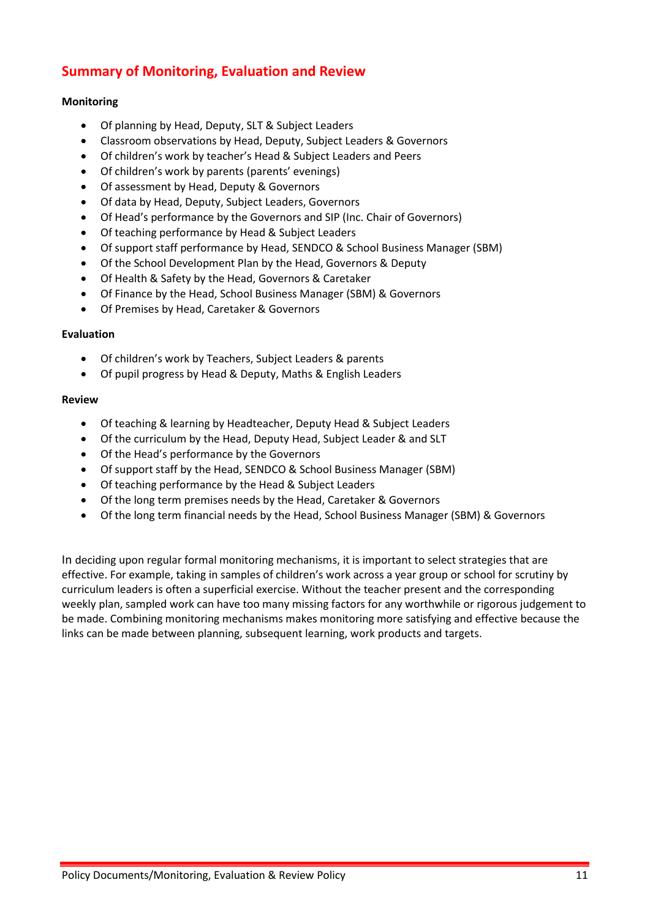# <span id="page-10-0"></span>**Summary of Monitoring, Evaluation and Review**

#### <span id="page-10-1"></span>**Monitoring**

- Of planning by Head, Deputy, SLT & Subject Leaders
- Classroom observations by Head, Deputy, Subject Leaders & Governors
- Of children's work by teacher's Head & Subject Leaders and Peers
- Of children's work by parents (parents' evenings)
- Of assessment by Head, Deputy & Governors
- Of data by Head, Deputy, Subject Leaders, Governors
- Of Head's performance by the Governors and SIP (Inc. Chair of Governors)
- Of teaching performance by Head & Subject Leaders
- Of support staff performance by Head, SENDCO & School Business Manager (SBM)
- Of the School Development Plan by the Head, Governors & Deputy
- Of Health & Safety by the Head, Governors & Caretaker
- Of Finance by the Head, School Business Manager (SBM) & Governors
- Of Premises by Head, Caretaker & Governors

#### <span id="page-10-2"></span>**Evaluation**

- Of children's work by Teachers, Subject Leaders & parents
- Of pupil progress by Head & Deputy, Maths & English Leaders

#### <span id="page-10-3"></span>**Review**

- Of teaching & learning by Headteacher, Deputy Head & Subject Leaders
- Of the curriculum by the Head, Deputy Head, Subject Leader & and SLT
- Of the Head's performance by the Governors
- Of support staff by the Head, SENDCO & School Business Manager (SBM)
- Of teaching performance by the Head & Subject Leaders
- Of the long term premises needs by the Head, Caretaker & Governors
- Of the long term financial needs by the Head, School Business Manager (SBM) & Governors

In deciding upon regular formal monitoring mechanisms, it is important to select strategies that are effective. For example, taking in samples of children's work across a year group or school for scrutiny by curriculum leaders is often a superficial exercise. Without the teacher present and the corresponding weekly plan, sampled work can have too many missing factors for any worthwhile or rigorous judgement to be made. Combining monitoring mechanisms makes monitoring more satisfying and effective because the links can be made between planning, subsequent learning, work products and targets.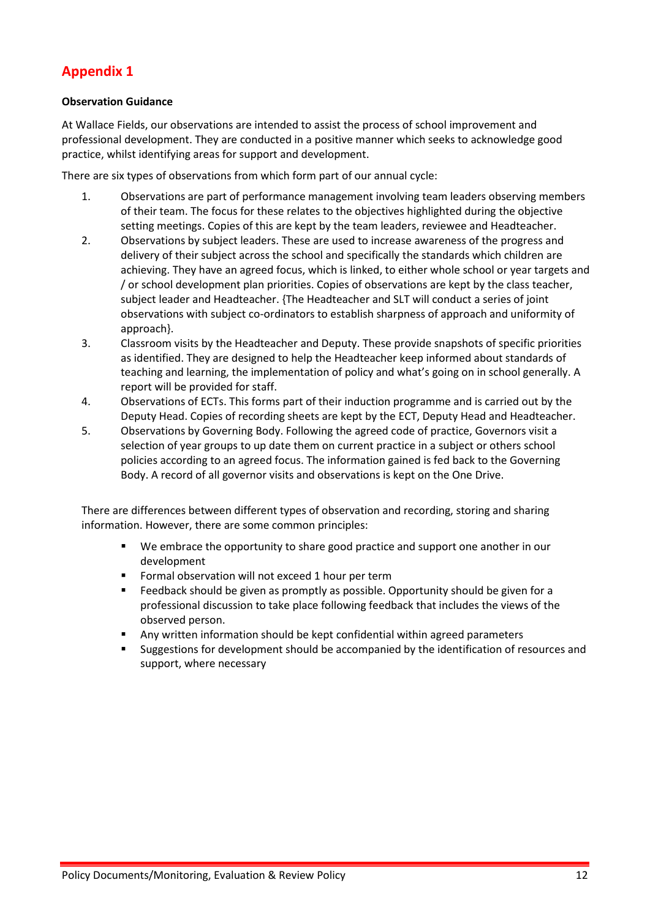# <span id="page-11-0"></span>**Appendix 1**

#### <span id="page-11-1"></span>**Observation Guidance**

At Wallace Fields, our observations are intended to assist the process of school improvement and professional development. They are conducted in a positive manner which seeks to acknowledge good practice, whilst identifying areas for support and development.

There are six types of observations from which form part of our annual cycle:

- 1. Observations are part of performance management involving team leaders observing members of their team. The focus for these relates to the objectives highlighted during the objective setting meetings. Copies of this are kept by the team leaders, reviewee and Headteacher.
- 2. Observations by subject leaders. These are used to increase awareness of the progress and delivery of their subject across the school and specifically the standards which children are achieving. They have an agreed focus, which is linked, to either whole school or year targets and / or school development plan priorities. Copies of observations are kept by the class teacher, subject leader and Headteacher. {The Headteacher and SLT will conduct a series of joint observations with subject co-ordinators to establish sharpness of approach and uniformity of approach}.
- 3. Classroom visits by the Headteacher and Deputy. These provide snapshots of specific priorities as identified. They are designed to help the Headteacher keep informed about standards of teaching and learning, the implementation of policy and what's going on in school generally. A report will be provided for staff.
- 4. Observations of ECTs. This forms part of their induction programme and is carried out by the Deputy Head. Copies of recording sheets are kept by the ECT, Deputy Head and Headteacher.
- 5. Observations by Governing Body. Following the agreed code of practice, Governors visit a selection of year groups to up date them on current practice in a subject or others school policies according to an agreed focus. The information gained is fed back to the Governing Body. A record of all governor visits and observations is kept on the One Drive.

There are differences between different types of observation and recording, storing and sharing information. However, there are some common principles:

- We embrace the opportunity to share good practice and support one another in our development
- Formal observation will not exceed 1 hour per term
- Feedback should be given as promptly as possible. Opportunity should be given for a professional discussion to take place following feedback that includes the views of the observed person.
- Any written information should be kept confidential within agreed parameters
- Suggestions for development should be accompanied by the identification of resources and support, where necessary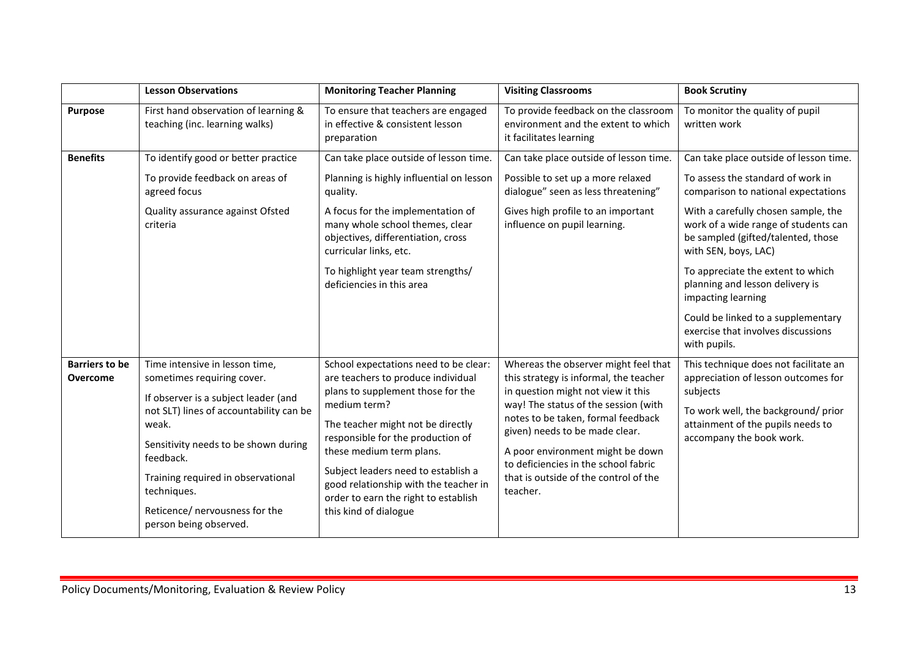|                       | <b>Lesson Observations</b>                                                               | <b>Monitoring Teacher Planning</b>                                                                                                                                                                                         | <b>Visiting Classrooms</b>                                                                                                    | <b>Book Scrutiny</b>                                                                                                                      |  |
|-----------------------|------------------------------------------------------------------------------------------|----------------------------------------------------------------------------------------------------------------------------------------------------------------------------------------------------------------------------|-------------------------------------------------------------------------------------------------------------------------------|-------------------------------------------------------------------------------------------------------------------------------------------|--|
| <b>Purpose</b>        | First hand observation of learning &<br>teaching (inc. learning walks)                   | To ensure that teachers are engaged<br>in effective & consistent lesson<br>preparation                                                                                                                                     | To provide feedback on the classroom<br>environment and the extent to which<br>it facilitates learning                        | To monitor the quality of pupil<br>written work                                                                                           |  |
| <b>Benefits</b>       | To identify good or better practice                                                      | Can take place outside of lesson time.                                                                                                                                                                                     | Can take place outside of lesson time.                                                                                        | Can take place outside of lesson time.                                                                                                    |  |
|                       | To provide feedback on areas of<br>agreed focus                                          | Planning is highly influential on lesson<br>quality.                                                                                                                                                                       | Possible to set up a more relaxed<br>dialogue" seen as less threatening"                                                      | To assess the standard of work in<br>comparison to national expectations                                                                  |  |
|                       | Quality assurance against Ofsted<br>criteria                                             | A focus for the implementation of<br>many whole school themes, clear<br>objectives, differentiation, cross<br>curricular links, etc.                                                                                       | Gives high profile to an important<br>influence on pupil learning.                                                            | With a carefully chosen sample, the<br>work of a wide range of students can<br>be sampled (gifted/talented, those<br>with SEN, boys, LAC) |  |
|                       |                                                                                          | To highlight year team strengths/<br>deficiencies in this area                                                                                                                                                             |                                                                                                                               | To appreciate the extent to which<br>planning and lesson delivery is<br>impacting learning                                                |  |
|                       |                                                                                          |                                                                                                                                                                                                                            |                                                                                                                               | Could be linked to a supplementary<br>exercise that involves discussions<br>with pupils.                                                  |  |
| <b>Barriers to be</b> | Time intensive in lesson time,                                                           | School expectations need to be clear:                                                                                                                                                                                      | Whereas the observer might feel that                                                                                          | This technique does not facilitate an                                                                                                     |  |
| <b>Overcome</b>       | sometimes requiring cover.                                                               | are teachers to produce individual<br>plans to supplement those for the                                                                                                                                                    | this strategy is informal, the teacher<br>in question might not view it this                                                  | appreciation of lesson outcomes for<br>subjects                                                                                           |  |
|                       | If observer is a subject leader (and<br>not SLT) lines of accountability can be<br>weak. | medium term?                                                                                                                                                                                                               | way! The status of the session (with                                                                                          | To work well, the background/prior                                                                                                        |  |
|                       |                                                                                          | The teacher might not be directly<br>responsible for the production of<br>these medium term plans.<br>Subject leaders need to establish a<br>good relationship with the teacher in<br>order to earn the right to establish | notes to be taken, formal feedback<br>given) needs to be made clear.                                                          | attainment of the pupils needs to<br>accompany the book work.                                                                             |  |
|                       | Sensitivity needs to be shown during<br>feedback.                                        |                                                                                                                                                                                                                            | A poor environment might be down<br>to deficiencies in the school fabric<br>that is outside of the control of the<br>teacher. |                                                                                                                                           |  |
|                       | Training required in observational<br>techniques.                                        |                                                                                                                                                                                                                            |                                                                                                                               |                                                                                                                                           |  |
|                       | Reticence/ nervousness for the<br>person being observed.                                 | this kind of dialogue                                                                                                                                                                                                      |                                                                                                                               |                                                                                                                                           |  |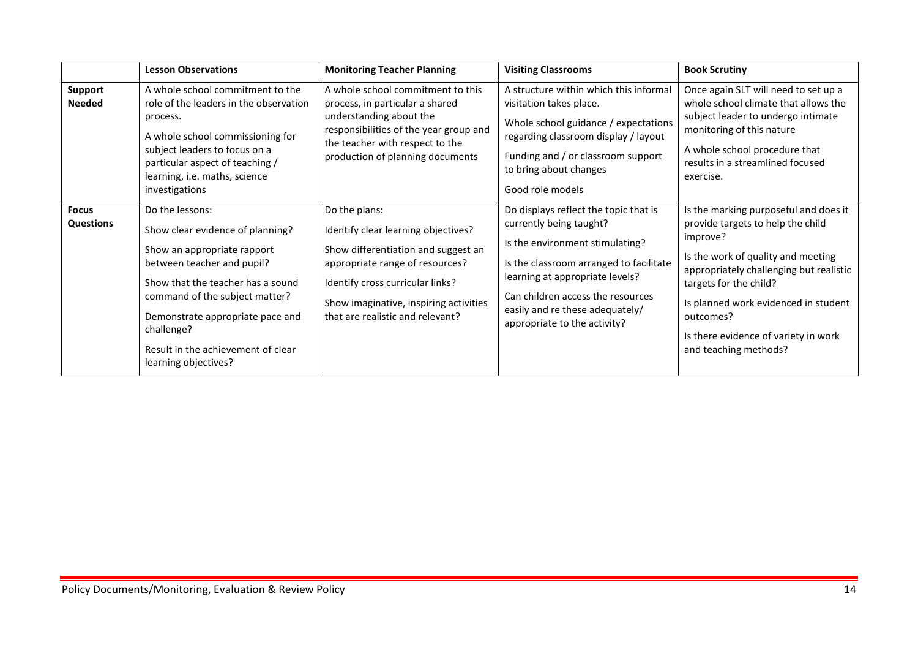|                                  | <b>Lesson Observations</b>                                                                                                                                                                                                                                                                              | <b>Monitoring Teacher Planning</b>                                                                                                                                                                                                               | <b>Visiting Classrooms</b>                                                                                                                                                                                                                                                                | <b>Book Scrutiny</b>                                                                                                                                                                                                                                                                                                    |
|----------------------------------|---------------------------------------------------------------------------------------------------------------------------------------------------------------------------------------------------------------------------------------------------------------------------------------------------------|--------------------------------------------------------------------------------------------------------------------------------------------------------------------------------------------------------------------------------------------------|-------------------------------------------------------------------------------------------------------------------------------------------------------------------------------------------------------------------------------------------------------------------------------------------|-------------------------------------------------------------------------------------------------------------------------------------------------------------------------------------------------------------------------------------------------------------------------------------------------------------------------|
| <b>Support</b><br><b>Needed</b>  | A whole school commitment to the<br>role of the leaders in the observation<br>process.<br>A whole school commissioning for<br>subject leaders to focus on a<br>particular aspect of teaching /<br>learning, i.e. maths, science<br>investigations                                                       | A whole school commitment to this<br>process, in particular a shared<br>understanding about the<br>responsibilities of the year group and<br>the teacher with respect to the<br>production of planning documents                                 | A structure within which this informal<br>visitation takes place.<br>Whole school guidance / expectations<br>regarding classroom display / layout<br>Funding and / or classroom support<br>to bring about changes<br>Good role models                                                     | Once again SLT will need to set up a<br>whole school climate that allows the<br>subject leader to undergo intimate<br>monitoring of this nature<br>A whole school procedure that<br>results in a streamlined focused<br>exercise.                                                                                       |
| <b>Focus</b><br><b>Questions</b> | Do the lessons:<br>Show clear evidence of planning?<br>Show an appropriate rapport<br>between teacher and pupil?<br>Show that the teacher has a sound<br>command of the subject matter?<br>Demonstrate appropriate pace and<br>challenge?<br>Result in the achievement of clear<br>learning objectives? | Do the plans:<br>Identify clear learning objectives?<br>Show differentiation and suggest an<br>appropriate range of resources?<br>Identify cross curricular links?<br>Show imaginative, inspiring activities<br>that are realistic and relevant? | Do displays reflect the topic that is<br>currently being taught?<br>Is the environment stimulating?<br>Is the classroom arranged to facilitate<br>learning at appropriate levels?<br>Can children access the resources<br>easily and re these adequately/<br>appropriate to the activity? | Is the marking purposeful and does it<br>provide targets to help the child<br>improve?<br>Is the work of quality and meeting<br>appropriately challenging but realistic<br>targets for the child?<br>Is planned work evidenced in student<br>outcomes?<br>Is there evidence of variety in work<br>and teaching methods? |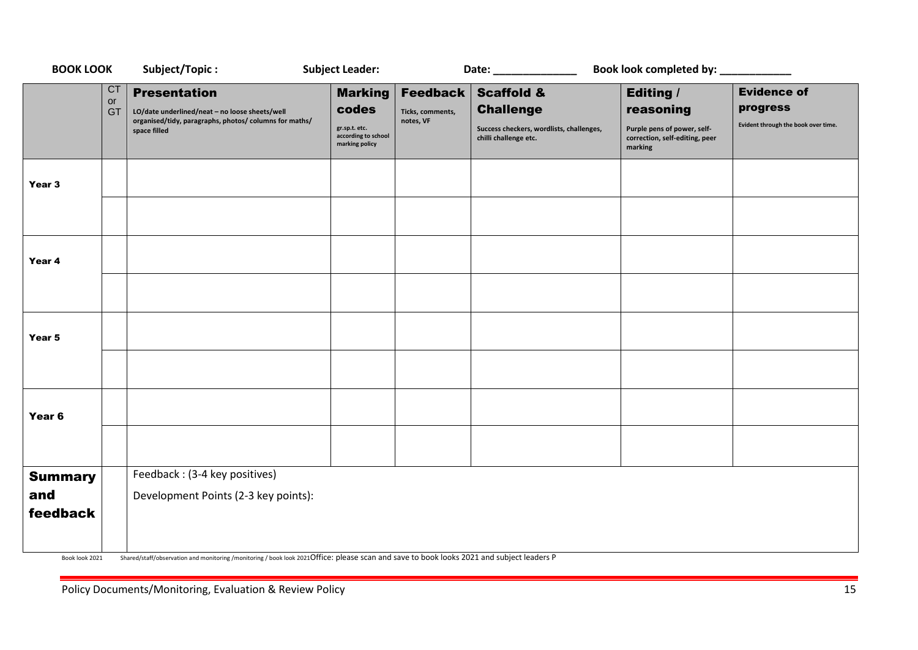| <b>BOOK LOOK</b>  |                       | Subject/Topic:                                                                                                                                  | <b>Subject Leader:</b>                                                            |                                                  | Date: _______________                                                                                          | Book look completed by: ___________                                                                       |                                                                       |
|-------------------|-----------------------|-------------------------------------------------------------------------------------------------------------------------------------------------|-----------------------------------------------------------------------------------|--------------------------------------------------|----------------------------------------------------------------------------------------------------------------|-----------------------------------------------------------------------------------------------------------|-----------------------------------------------------------------------|
|                   | <b>CT</b><br>or<br>GT | <b>Presentation</b><br>LO/date underlined/neat - no loose sheets/well<br>organised/tidy, paragraphs, photos/ columns for maths/<br>space filled | <b>Marking</b><br>codes<br>gr.sp.t. etc.<br>according to school<br>marking policy | <b>Feedback</b><br>Ticks, comments,<br>notes, VF | <b>Scaffold &amp;</b><br><b>Challenge</b><br>Success checkers, wordlists, challenges,<br>chilli challenge etc. | <b>Editing /</b><br>reasoning<br>Purple pens of power, self-<br>correction, self-editing, peer<br>marking | <b>Evidence of</b><br>progress<br>Evident through the book over time. |
| Year 3            |                       |                                                                                                                                                 |                                                                                   |                                                  |                                                                                                                |                                                                                                           |                                                                       |
|                   |                       |                                                                                                                                                 |                                                                                   |                                                  |                                                                                                                |                                                                                                           |                                                                       |
| Year 4            |                       |                                                                                                                                                 |                                                                                   |                                                  |                                                                                                                |                                                                                                           |                                                                       |
|                   |                       |                                                                                                                                                 |                                                                                   |                                                  |                                                                                                                |                                                                                                           |                                                                       |
| Year 5            |                       |                                                                                                                                                 |                                                                                   |                                                  |                                                                                                                |                                                                                                           |                                                                       |
|                   |                       |                                                                                                                                                 |                                                                                   |                                                  |                                                                                                                |                                                                                                           |                                                                       |
| Year <sub>6</sub> |                       |                                                                                                                                                 |                                                                                   |                                                  |                                                                                                                |                                                                                                           |                                                                       |
|                   |                       |                                                                                                                                                 |                                                                                   |                                                  |                                                                                                                |                                                                                                           |                                                                       |
| <b>Summary</b>    |                       | Feedback: (3-4 key positives)                                                                                                                   |                                                                                   |                                                  |                                                                                                                |                                                                                                           |                                                                       |
| and<br>feedback   |                       | Development Points (2-3 key points):                                                                                                            |                                                                                   |                                                  |                                                                                                                |                                                                                                           |                                                                       |
| Book look 2021    |                       | Shared/staff/observation and monitoring /monitoring / book look 2021Office: please scan and save to book looks 2021 and subject leaders P       |                                                                                   |                                                  |                                                                                                                |                                                                                                           |                                                                       |